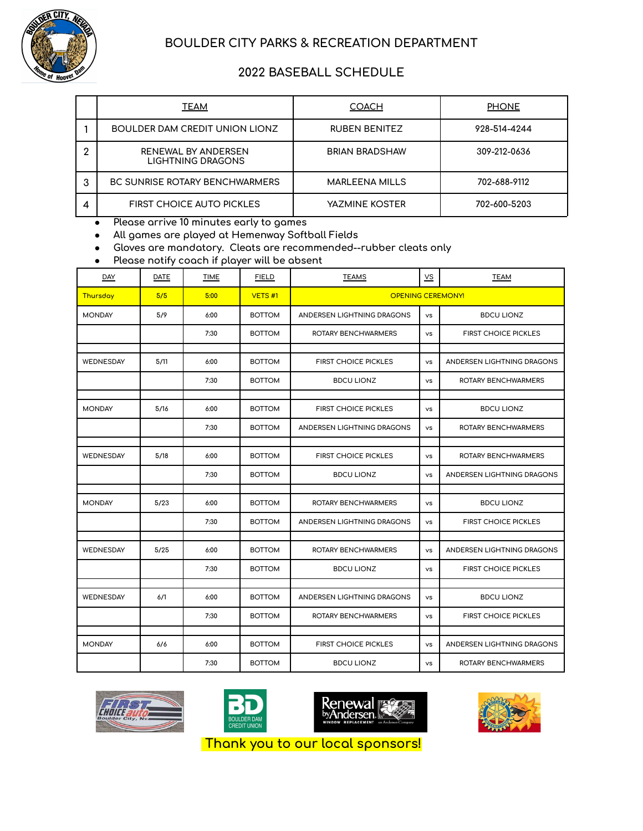

## **BOULDER CITY PARKS & RECREATION DEPARTMENT**

## **2022 BASEBALL SCHEDULE**

|   | <b>TEAM</b>                                     | <b>COACH</b>          | <b>PHONE</b> |
|---|-------------------------------------------------|-----------------------|--------------|
|   | BOULDER DAM CREDIT UNION LIONZ                  | <b>RUBEN BENITEZ</b>  | 928-514-4244 |
| 2 | RENEWAL BY ANDERSEN<br><b>LIGHTNING DRAGONS</b> | <b>BRIAN BRADSHAW</b> | 309-212-0636 |
| 3 | <b>BC SUNRISE ROTARY BENCHWARMERS</b>           | <b>MARLEENA MILLS</b> | 702-688-9112 |
| 4 | <b>FIRST CHOICE AUTO PICKLES</b>                | YAZMINE KOSTER        | 702-600-5203 |

**● Please arrive 10 minutes early to games**

**● All games are played at Hemenway Softball Fields**

**● Gloves are mandatory. Cleats are recommended--rubber cleats only**

**● Please notify coach if player will be absent**

| DAY              | DATE | <b>TIME</b> | <b>FIELD</b>  | <b>TEAMS</b>                | $\underline{\mathsf{VS}}$ | <b>TEAM</b>                 |
|------------------|------|-------------|---------------|-----------------------------|---------------------------|-----------------------------|
| Thursday         | 5/5  | 5:00        | VETS H1       | <b>OPENING CEREMONY!</b>    |                           |                             |
| <b>MONDAY</b>    | 5/9  | 6:00        | <b>BOTTOM</b> | ANDERSEN LIGHTNING DRAGONS  | <b>vs</b>                 | <b>BDCU LIONZ</b>           |
|                  |      | 7:30        | <b>BOTTOM</b> | ROTARY BENCHWARMERS         | <b>vs</b>                 | <b>FIRST CHOICE PICKLES</b> |
| WEDNESDAY        | 5/11 | 6:00        | <b>BOTTOM</b> | <b>FIRST CHOICE PICKLES</b> | <b>VS</b>                 | ANDERSEN LIGHTNING DRAGONS  |
|                  |      | 7:30        | <b>BOTTOM</b> | <b>BDCU LIONZ</b>           | <b>VS</b>                 | ROTARY BENCHWARMERS         |
|                  |      |             |               |                             |                           |                             |
| <b>MONDAY</b>    | 5/16 | 6:00        | <b>BOTTOM</b> | <b>FIRST CHOICE PICKLES</b> | <b>VS</b>                 | <b>BDCU LIONZ</b>           |
|                  |      | 7:30        | <b>BOTTOM</b> | ANDERSEN LIGHTNING DRAGONS  | <b>vs</b>                 | ROTARY BENCHWARMERS         |
|                  |      |             |               |                             |                           |                             |
| WEDNESDAY        | 5/18 | 6:00        | <b>BOTTOM</b> | <b>FIRST CHOICE PICKLES</b> | <b>vs</b>                 | ROTARY BENCHWARMERS         |
|                  |      | 7:30        | <b>BOTTOM</b> | <b>BDCU LIONZ</b>           | <b>VS</b>                 | ANDERSEN LIGHTNING DRAGONS  |
|                  |      |             |               |                             |                           |                             |
| <b>MONDAY</b>    | 5/23 | 6:00        | <b>BOTTOM</b> | ROTARY BENCHWARMERS         | <b>VS</b>                 | <b>BDCU LIONZ</b>           |
|                  |      | 7:30        | <b>BOTTOM</b> | ANDERSEN LIGHTNING DRAGONS  | <b>VS</b>                 | <b>FIRST CHOICE PICKLES</b> |
|                  |      |             |               |                             |                           |                             |
| WEDNESDAY        | 5/25 | 6:00        | <b>BOTTOM</b> | ROTARY BENCHWARMERS         | <b>VS</b>                 | ANDERSEN LIGHTNING DRAGONS  |
|                  |      | 7:30        | <b>BOTTOM</b> | <b>BDCU LIONZ</b>           | <b>vs</b>                 | <b>FIRST CHOICE PICKLES</b> |
|                  |      |             |               |                             |                           |                             |
| <b>WEDNESDAY</b> | 6/1  | 6:00        | <b>BOTTOM</b> | ANDERSEN LIGHTNING DRAGONS  | <b>VS</b>                 | <b>BDCU LIONZ</b>           |
|                  |      | 7:30        | <b>BOTTOM</b> | ROTARY BENCHWARMERS         | <b>VS</b>                 | <b>FIRST CHOICE PICKLES</b> |
|                  |      |             |               |                             |                           |                             |
| <b>MONDAY</b>    | 6/6  | 6:00        | <b>BOTTOM</b> | <b>FIRST CHOICE PICKLES</b> | <b>VS</b>                 | ANDERSEN LIGHTNING DRAGONS  |
|                  |      | 7:30        | <b>BOTTOM</b> | <b>BDCU LIONZ</b>           | <b>vs</b>                 | ROTARY BENCHWARMERS         |









**Thank you to our local sponsors!**